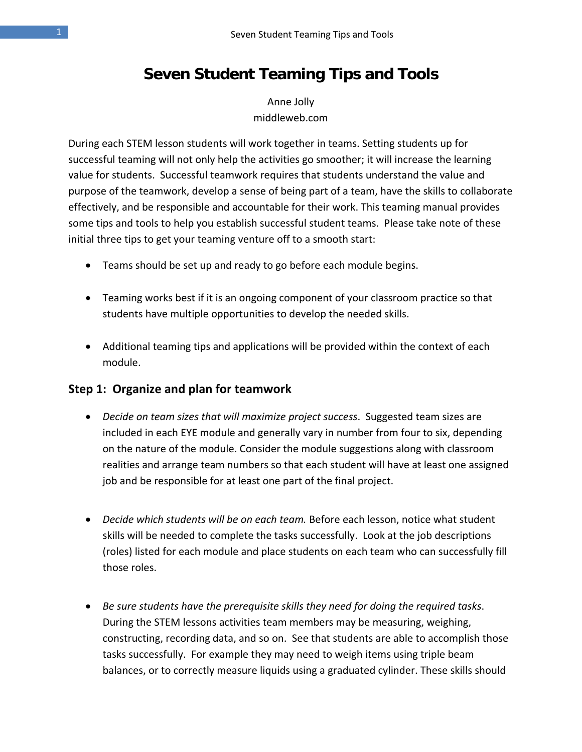# **Seven Student Teaming Tips and Tools**

Anne Jolly middleweb.com

During each STEM lesson students will work together in teams. Setting students up for successful teaming will not only help the activities go smoother; it will increase the learning value for students. Successful teamwork requires that students understand the value and purpose of the teamwork, develop a sense of being part of a team, have the skills to collaborate effectively, and be responsible and accountable for their work. This teaming manual provides some tips and tools to help you establish successful student teams. Please take note of these initial three tips to get your teaming venture off to a smooth start:

- Teams should be set up and ready to go before each module begins.
- Teaming works best if it is an ongoing component of your classroom practice so that students have multiple opportunities to develop the needed skills.
- Additional teaming tips and applications will be provided within the context of each module.

## **Step 1: Organize and plan for teamwork**

- *Decide on team sizes that will maximize project success*. Suggested team sizes are included in each EYE module and generally vary in number from four to six, depending on the nature of the module. Consider the module suggestions along with classroom realities and arrange team numbers so that each student will have at least one assigned job and be responsible for at least one part of the final project.
- *Decide which students will be on each team.* Before each lesson, notice what student skills will be needed to complete the tasks successfully. Look at the job descriptions (roles) listed for each module and place students on each team who can successfully fill those roles.
- *Be sure students have the prerequisite skills they need for doing the required tasks*. During the STEM lessons activities team members may be measuring, weighing, constructing, recording data, and so on. See that students are able to accomplish those tasks successfully. For example they may need to weigh items using triple beam balances, or to correctly measure liquids using a graduated cylinder. These skills should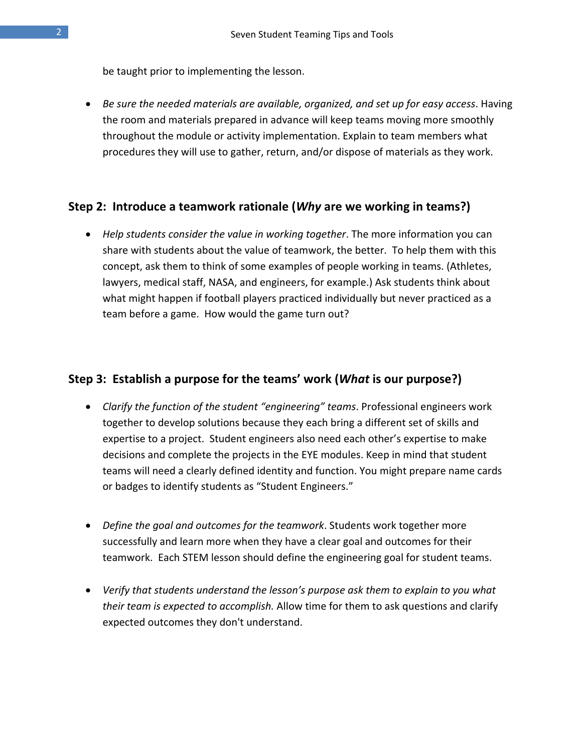be taught prior to implementing the lesson.

• *Be sure the needed materials are available, organized, and set up for easy access*. Having the room and materials prepared in advance will keep teams moving more smoothly throughout the module or activity implementation. Explain to team members what procedures they will use to gather, return, and/or dispose of materials as they work.

## **Step 2: Introduce a teamwork rationale (***Why* **are we working in teams?)**

• *Help students consider the value in working together*. The more information you can share with students about the value of teamwork, the better. To help them with this concept, ask them to think of some examples of people working in teams. (Athletes, lawyers, medical staff, NASA, and engineers, for example.) Ask students think about what might happen if football players practiced individually but never practiced as a team before a game. How would the game turn out?

## **Step 3: Establish a purpose for the teams' work (***What* **is our purpose?)**

- *Clarify the function of the student "engineering" teams*. Professional engineers work together to develop solutions because they each bring a different set of skills and expertise to a project. Student engineers also need each other's expertise to make decisions and complete the projects in the EYE modules. Keep in mind that student teams will need a clearly defined identity and function. You might prepare name cards or badges to identify students as "Student Engineers."
- *Define the goal and outcomes for the teamwork*. Students work together more successfully and learn more when they have a clear goal and outcomes for their teamwork. Each STEM lesson should define the engineering goal for student teams.
- *Verify that students understand the lesson's purpose ask them to explain to you what their team is expected to accomplish.* Allow time for them to ask questions and clarify expected outcomes they don't understand.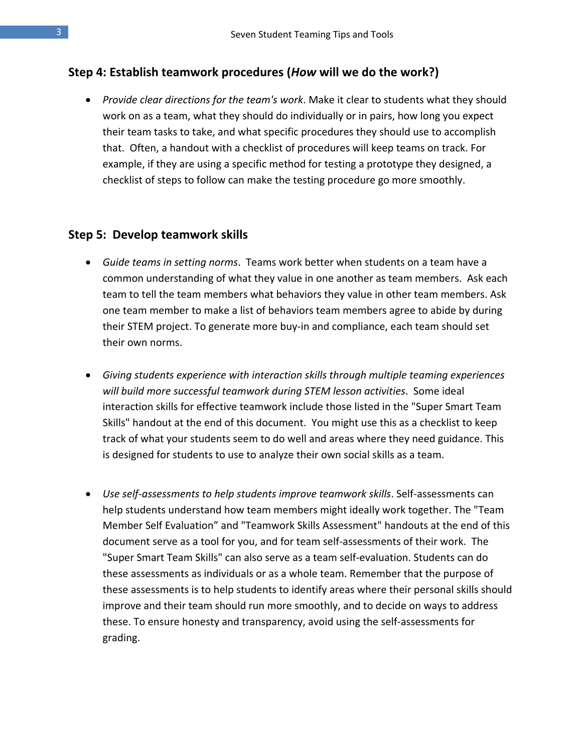## **Step 4: Establish teamwork procedures (***How* **will we do the work?)**

• *Provide clear directions for the team's work*. Make it clear to students what they should work on as a team, what they should do individually or in pairs, how long you expect their team tasks to take, and what specific procedures they should use to accomplish that. Often, a handout with a checklist of procedures will keep teams on track. For example, if they are using a specific method for testing a prototype they designed, a checklist of steps to follow can make the testing procedure go more smoothly.

#### **Step 5: Develop teamwork skills**

- *Guide teams in setting norms*. Teams work better when students on a team have a common understanding of what they value in one another as team members. Ask each team to tell the team members what behaviors they value in other team members. Ask one team member to make a list of behaviors team members agree to abide by during their STEM project. To generate more buy-in and compliance, each team should set their own norms.
- *Giving students experience with interaction skills through multiple teaming experiences will build more successful teamwork during STEM lesson activities*. Some ideal interaction skills for effective teamwork include those listed in the "Super Smart Team Skills" handout at the end of this document. You might use this as a checklist to keep track of what your students seem to do well and areas where they need guidance. This is designed for students to use to analyze their own social skills as a team.
- Use self-assessments to help students improve teamwork skills. Self-assessments can help students understand how team members might ideally work together. The "Team Member Self Evaluation" and "Teamwork Skills Assessment" handouts at the end of this document serve as a tool for you, and for team self-assessments of their work. The "Super Smart Team Skills" can also serve as a team self-evaluation. Students can do these assessments as individuals or as a whole team. Remember that the purpose of these assessments is to help students to identify areas where their personal skills should improve and their team should run more smoothly, and to decide on ways to address these. To ensure honesty and transparency, avoid using the self-assessments for grading.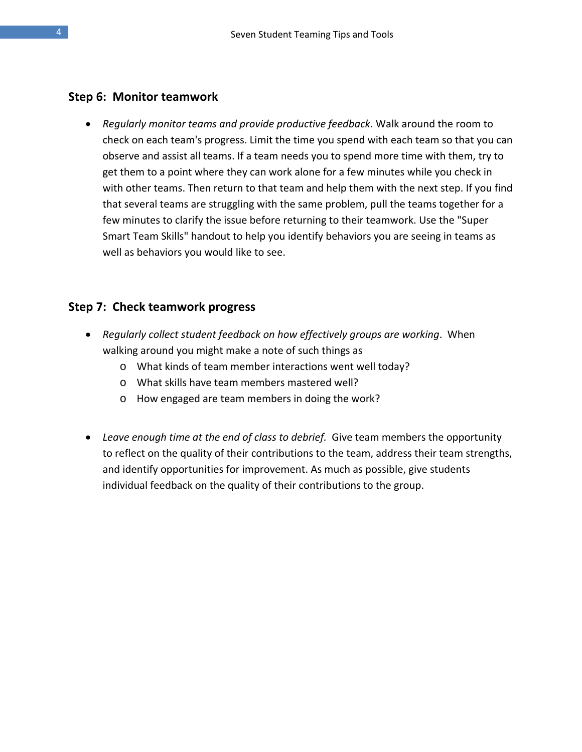#### **Step 6: Monitor teamwork**

• *Regularly monitor teams and provide productive feedback.* Walk around the room to check on each team's progress. Limit the time you spend with each team so that you can observe and assist all teams. If a team needs you to spend more time with them, try to get them to a point where they can work alone for a few minutes while you check in with other teams. Then return to that team and help them with the next step. If you find that several teams are struggling with the same problem, pull the teams together for a few minutes to clarify the issue before returning to their teamwork. Use the "Super Smart Team Skills" handout to help you identify behaviors you are seeing in teams as well as behaviors you would like to see.

#### **Step 7: Check teamwork progress**

- *Regularly collect student feedback on how effectively groups are working*. When walking around you might make a note of such things as
	- o What kinds of team member interactions went well today?
	- o What skills have team members mastered well?
	- o How engaged are team members in doing the work?
- *Leave enough time at the end of class to debrief.* Give team members the opportunity to reflect on the quality of their contributions to the team, address their team strengths, and identify opportunities for improvement. As much as possible, give students individual feedback on the quality of their contributions to the group.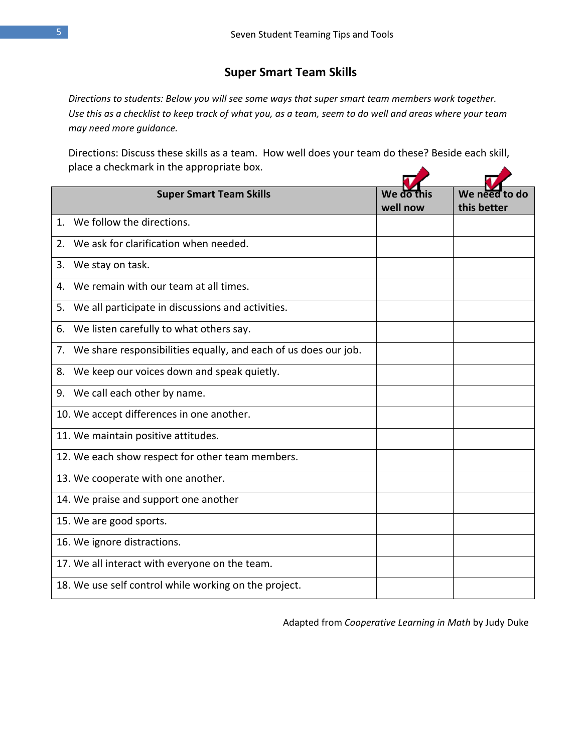## **Super Smart Team Skills**

*Directions to students: Below you will see some ways that super smart team members work together. Use this as a checklist to keep track of what you, as a team, seem to do well and areas where your team may need more guidance.* 

Directions: Discuss these skills as a team. How well does your team do these? Beside each skill, place a checkmark in the appropriate box.

|                | <b>Super Smart Team Skills</b>                                  | We do    | We need<br>d٥ |
|----------------|-----------------------------------------------------------------|----------|---------------|
|                |                                                                 | well now | this better   |
| $\mathbf{1}$ . | We follow the directions.                                       |          |               |
| 2.             | We ask for clarification when needed.                           |          |               |
| 3.             | We stay on task.                                                |          |               |
| 4.             | We remain with our team at all times.                           |          |               |
| 5.             | We all participate in discussions and activities.               |          |               |
| 6.             | We listen carefully to what others say.                         |          |               |
| 7.             | We share responsibilities equally, and each of us does our job. |          |               |
| 8.             | We keep our voices down and speak quietly.                      |          |               |
|                | 9. We call each other by name.                                  |          |               |
|                | 10. We accept differences in one another.                       |          |               |
|                | 11. We maintain positive attitudes.                             |          |               |
|                | 12. We each show respect for other team members.                |          |               |
|                | 13. We cooperate with one another.                              |          |               |
|                | 14. We praise and support one another                           |          |               |
|                | 15. We are good sports.                                         |          |               |
|                | 16. We ignore distractions.                                     |          |               |
|                | 17. We all interact with everyone on the team.                  |          |               |
|                | 18. We use self control while working on the project.           |          |               |

Adapted from *Cooperative Learning in Math* by Judy Duke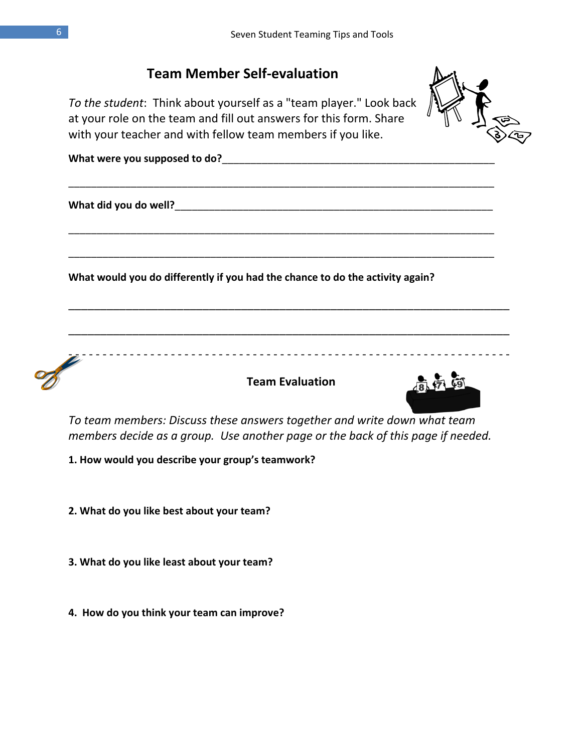

*To team members: Discuss these answers together and write down what team members decide as a group. Use another page or the back of this page if needed.* 

**1. How would you describe your group's teamwork?**

**2. What do you like best about your team?**

- **3. What do you like least about your team?**
- **4. How do you think your team can improve?**